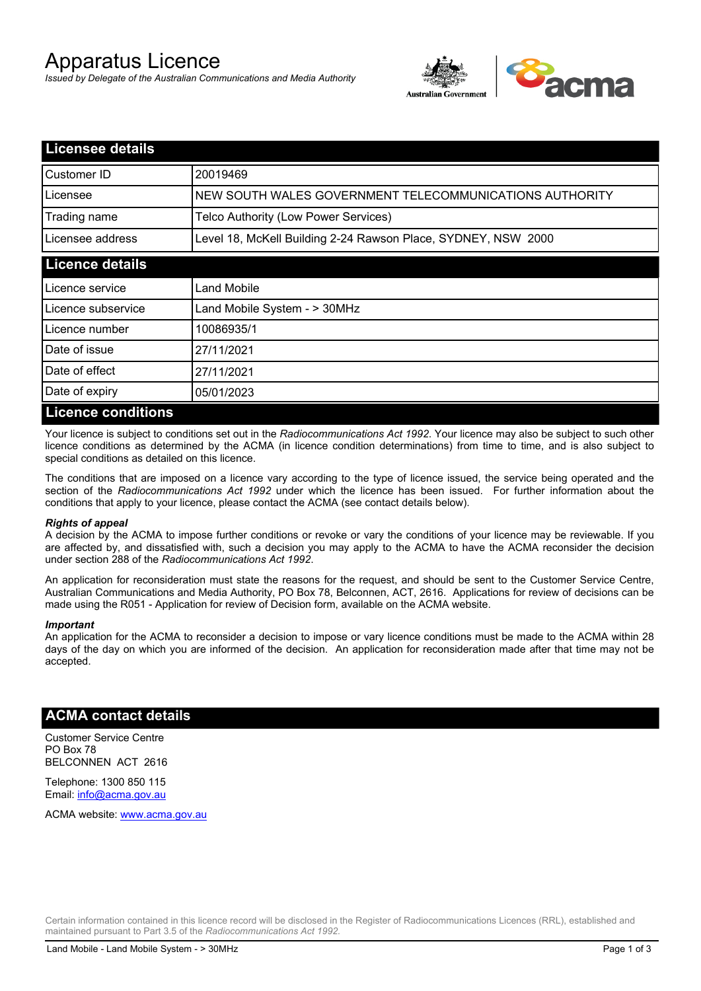# Apparatus Licence

*Issued by Delegate of the Australian Communications and Media Authority*



| <b>Licensee details</b>   |                                                               |  |  |
|---------------------------|---------------------------------------------------------------|--|--|
| Customer ID               | 20019469                                                      |  |  |
| Licensee                  | NEW SOUTH WALES GOVERNMENT TELECOMMUNICATIONS AUTHORITY       |  |  |
| Trading name              | Telco Authority (Low Power Services)                          |  |  |
| Licensee address          | Level 18, McKell Building 2-24 Rawson Place, SYDNEY, NSW 2000 |  |  |
| <b>Licence details</b>    |                                                               |  |  |
| Licence service           | Land Mobile                                                   |  |  |
| Licence subservice        | Land Mobile System - > 30MHz                                  |  |  |
| Licence number            | 10086935/1                                                    |  |  |
| Date of issue             | 27/11/2021                                                    |  |  |
| Date of effect            | 27/11/2021                                                    |  |  |
| Date of expiry            | 05/01/2023                                                    |  |  |
| <b>Licence conditions</b> |                                                               |  |  |

Your licence is subject to conditions set out in the *Radiocommunications Act 1992*. Your licence may also be subject to such other licence conditions as determined by the ACMA (in licence condition determinations) from time to time, and is also subject to special conditions as detailed on this licence.

The conditions that are imposed on a licence vary according to the type of licence issued, the service being operated and the section of the *Radiocommunications Act 1992* under which the licence has been issued. For further information about the conditions that apply to your licence, please contact the ACMA (see contact details below).

#### *Rights of appeal*

A decision by the ACMA to impose further conditions or revoke or vary the conditions of your licence may be reviewable. If you are affected by, and dissatisfied with, such a decision you may apply to the ACMA to have the ACMA reconsider the decision under section 288 of the *Radiocommunications Act 1992*.

An application for reconsideration must state the reasons for the request, and should be sent to the Customer Service Centre, Australian Communications and Media Authority, PO Box 78, Belconnen, ACT, 2616. Applications for review of decisions can be made using the R051 - Application for review of Decision form, available on the ACMA website.

#### *Important*

An application for the ACMA to reconsider a decision to impose or vary licence conditions must be made to the ACMA within 28 days of the day on which you are informed of the decision. An application for reconsideration made after that time may not be accepted.

### **ACMA contact details**

Customer Service Centre PO Box 78 BELCONNEN ACT 2616

Telephone: 1300 850 115 Email: info@acma.gov.au

ACMA website: www.acma.gov.au

Certain information contained in this licence record will be disclosed in the Register of Radiocommunications Licences (RRL), established and maintained pursuant to Part 3.5 of the *Radiocommunications Act 1992.*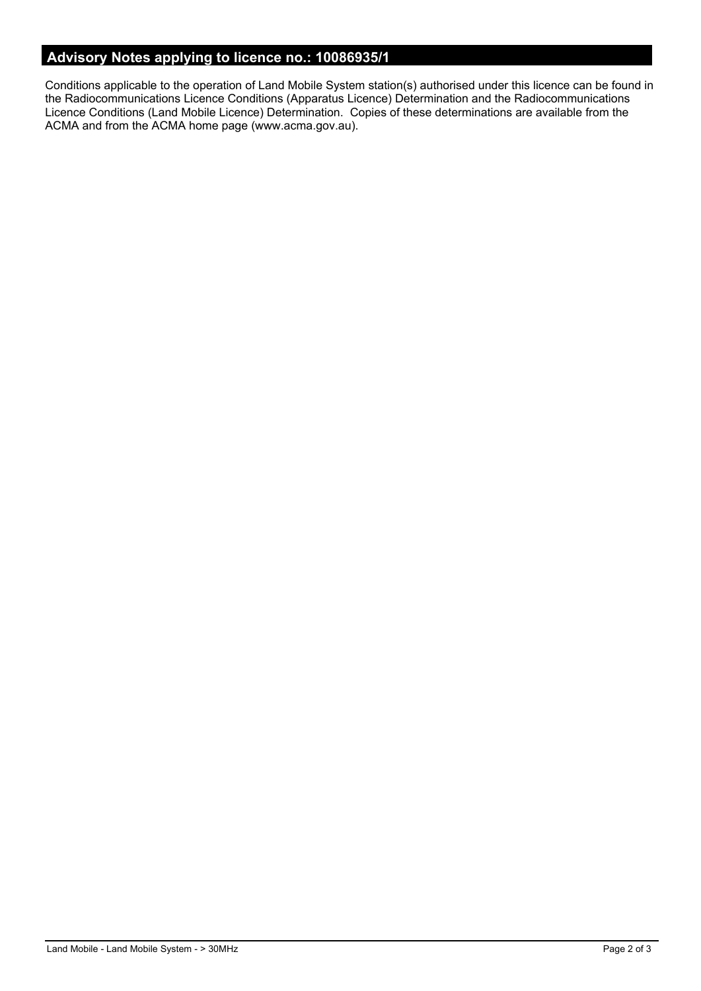# **Advisory Notes applying to licence no.: 10086935/1**

Conditions applicable to the operation of Land Mobile System station(s) authorised under this licence can be found in the Radiocommunications Licence Conditions (Apparatus Licence) Determination and the Radiocommunications Licence Conditions (Land Mobile Licence) Determination. Copies of these determinations are available from the ACMA and from the ACMA home page (www.acma.gov.au).